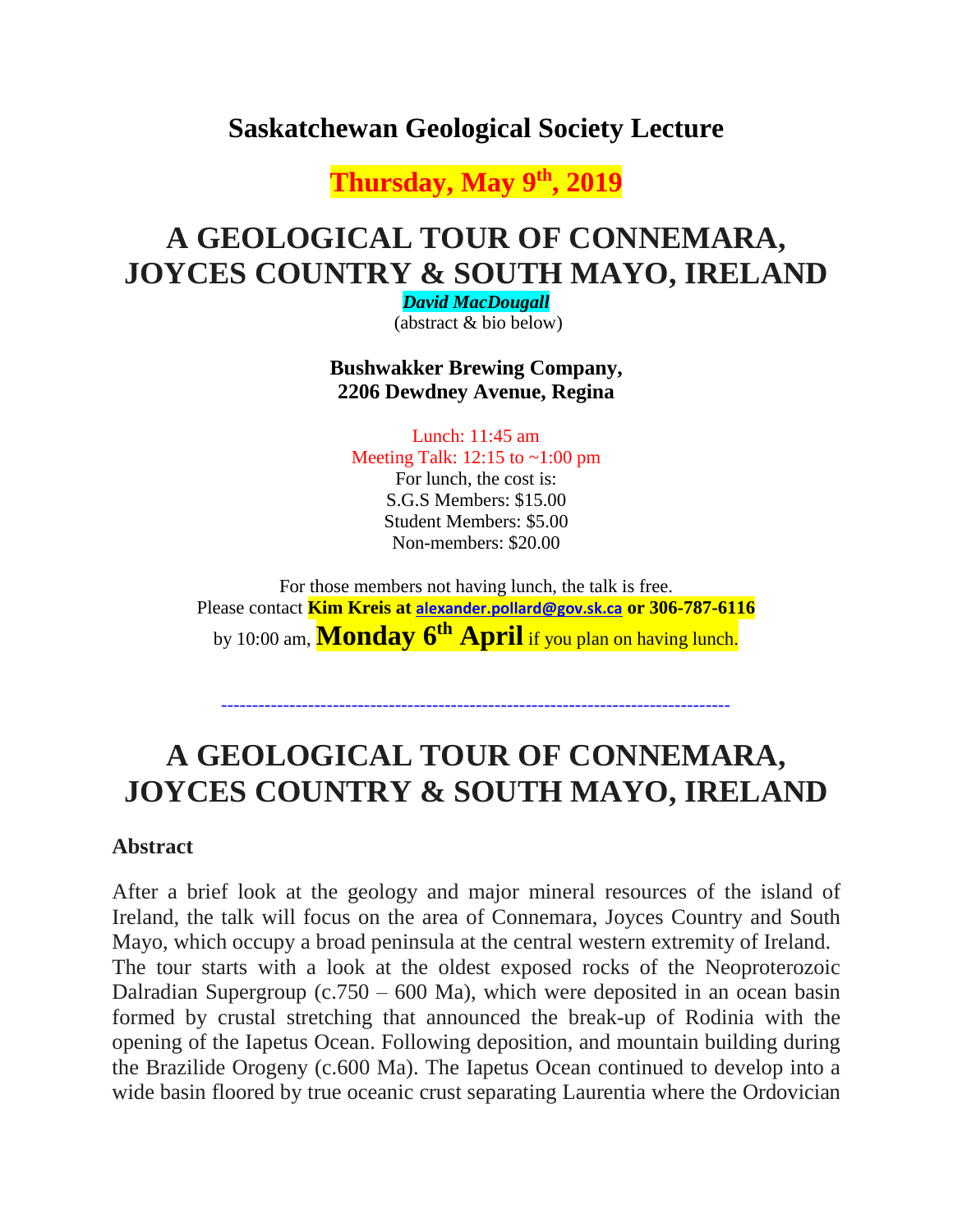## **Saskatchewan Geological Society Lecture**

**Thursday, May 9 th , 2019**

# **A GEOLOGICAL TOUR OF CONNEMARA, JOYCES COUNTRY & SOUTH MAYO, IRELAND**

*David MacDougall*

(abstract & bio below)

**Bushwakker Brewing Company, 2206 Dewdney Avenue, Regina**

Lunch: 11:45 am Meeting Talk: 12:15 to ~1:00 pm For lunch, the cost is: S.G.S Members: \$15.00 Student Members: \$5.00 Non-members: \$20.00

For those members not having lunch, the talk is free. Please contact **Kim Kreis at [alexander.pollard@gov.sk.ca](mailto:alexander.pollard@gov.sk.ca) or 306-787-6116** by 10:00 am, **Monday 6 th April** if you plan on having lunch.

## **A GEOLOGICAL TOUR OF CONNEMARA, JOYCES COUNTRY & SOUTH MAYO, IRELAND**

----------------------------------------------------------------------------------

#### **Abstract**

After a brief look at the geology and major mineral resources of the island of Ireland, the talk will focus on the area of Connemara, Joyces Country and South Mayo, which occupy a broad peninsula at the central western extremity of Ireland. The tour starts with a look at the oldest exposed rocks of the Neoproterozoic Dalradian Supergroup (c.750 – 600 Ma), which were deposited in an ocean basin formed by crustal stretching that announced the break-up of Rodinia with the opening of the Iapetus Ocean. Following deposition, and mountain building during the Brazilide Orogeny (c.600 Ma). The Iapetus Ocean continued to develop into a wide basin floored by true oceanic crust separating Laurentia where the Ordovician